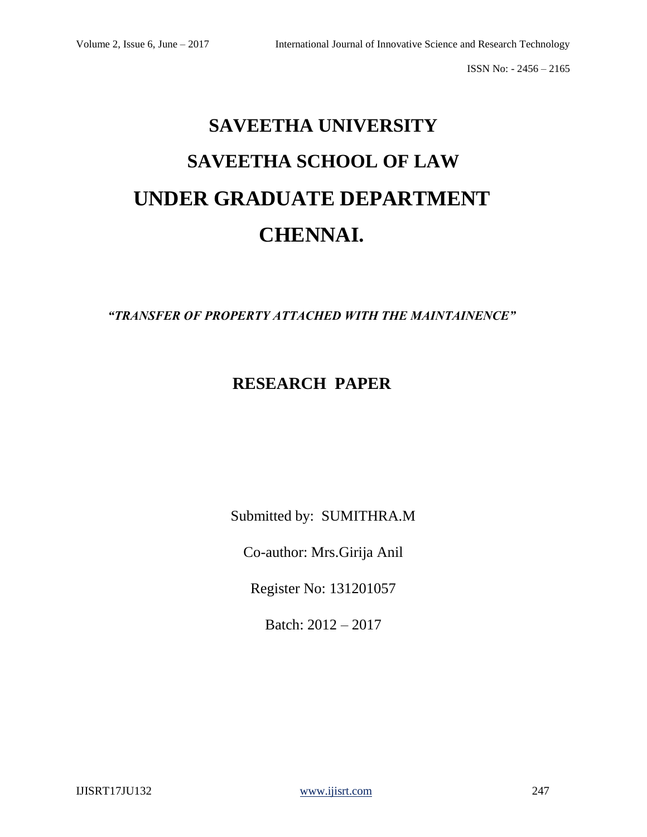# **SAVEETHA UNIVERSITY SAVEETHA SCHOOL OF LAW UNDER GRADUATE DEPARTMENT CHENNAI.**

*"TRANSFER OF PROPERTY ATTACHED WITH THE MAINTAINENCE"*

# **RESEARCH PAPER**

Submitted by: SUMITHRA.M

Co-author: Mrs.Girija Anil

Register No: 131201057

Batch: 2012 – 2017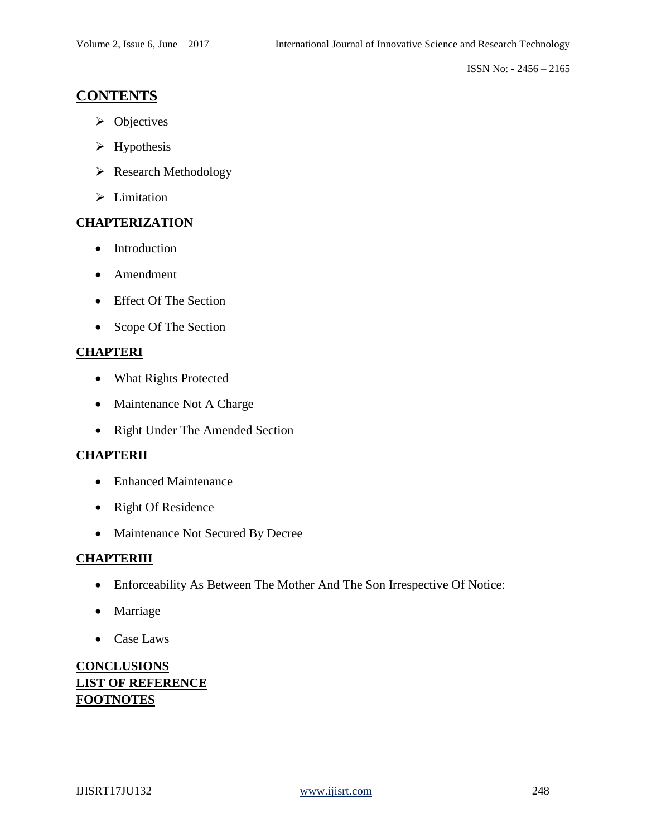# **CONTENTS**

- ➢ Objectives
- ➢ Hypothesis
- ➢ Research Methodology
- ➢ Limitation

# **CHAPTERIZATION**

- Introduction
- Amendment
- Effect Of The Section
- Scope Of The Section

# **CHAPTERI**

- What Rights Protected
- Maintenance Not A Charge
- Right Under The Amended Section

# **CHAPTERII**

- Enhanced Maintenance
- Right Of Residence
- Maintenance Not Secured By Decree

# **CHAPTERIII**

- Enforceability As Between The Mother And The Son Irrespective Of Notice:
- Marriage
- Case Laws

# **CONCLUSIONS LIST OF REFERENCE FOOTNOTES**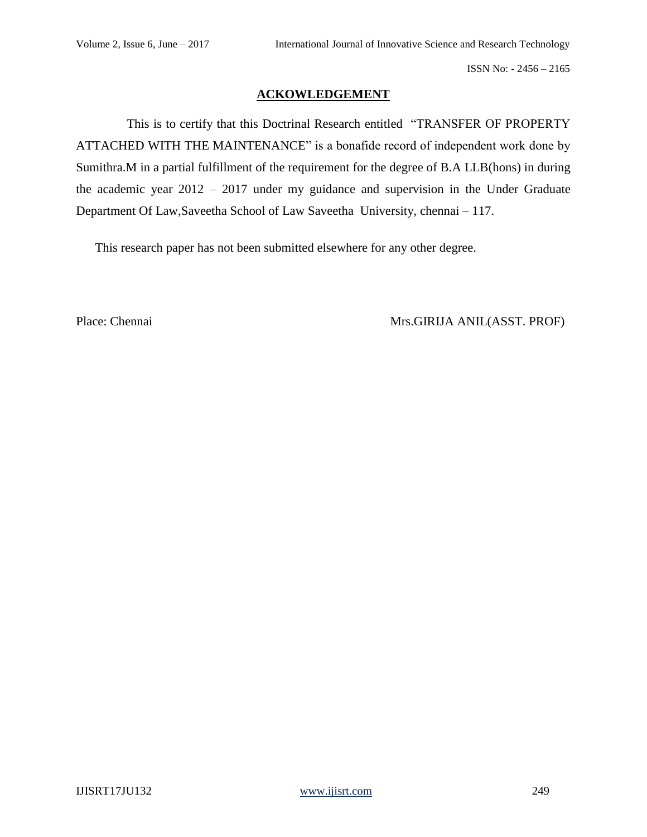# **ACKOWLEDGEMENT**

 This is to certify that this Doctrinal Research entitled "TRANSFER OF PROPERTY ATTACHED WITH THE MAINTENANCE" is a bonafide record of independent work done by Sumithra.M in a partial fulfillment of the requirement for the degree of B.A LLB(hons) in during the academic year 2012 – 2017 under my guidance and supervision in the Under Graduate Department Of Law,Saveetha School of Law Saveetha University, chennai – 117.

This research paper has not been submitted elsewhere for any other degree.

Place: Chennai Mrs.GIRIJA ANIL(ASST. PROF)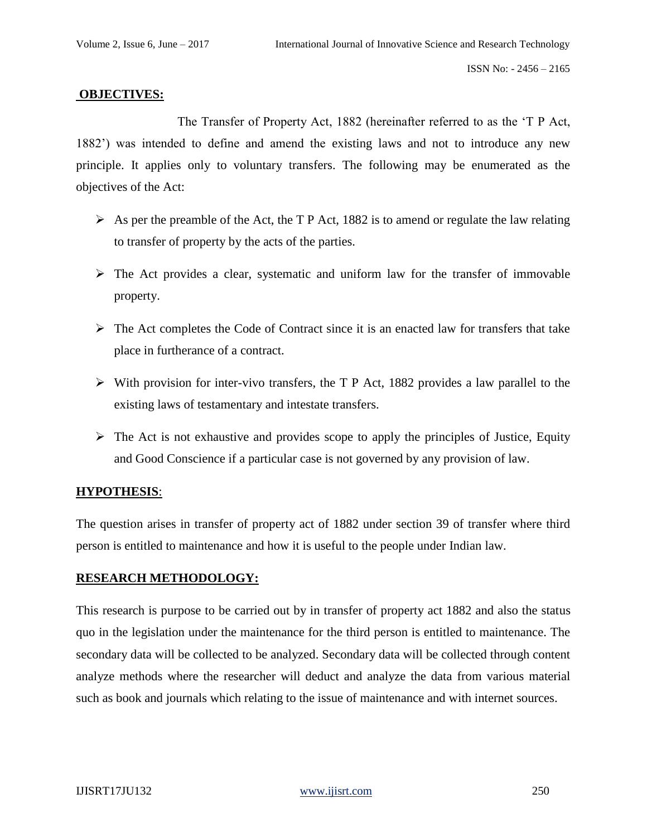### **OBJECTIVES:**

 The Transfer of Property Act, 1882 (hereinafter referred to as the 'T P Act, 1882') was intended to define and amend the existing laws and not to introduce any new principle. It applies only to voluntary transfers. The following may be enumerated as the objectives of the Act:

- $\triangleright$  As per the preamble of the Act, the T P Act, 1882 is to amend or regulate the law relating to transfer of property by the acts of the parties.
- $\triangleright$  The Act provides a clear, systematic and uniform law for the transfer of immovable property.
- $\triangleright$  The Act completes the Code of Contract since it is an enacted law for transfers that take place in furtherance of a contract.
- ➢ With provision for inter-vivo transfers, the T P Act, 1882 provides a law parallel to the existing laws of testamentary and intestate transfers.
- $\triangleright$  The Act is not exhaustive and provides scope to apply the principles of Justice, Equity and Good Conscience if a particular case is not governed by any provision of law.

# **HYPOTHESIS**:

The question arises in transfer of property act of 1882 under section 39 of transfer where third person is entitled to maintenance and how it is useful to the people under Indian law.

# **RESEARCH METHODOLOGY:**

This research is purpose to be carried out by in transfer of property act 1882 and also the status quo in the legislation under the maintenance for the third person is entitled to maintenance. The secondary data will be collected to be analyzed. Secondary data will be collected through content analyze methods where the researcher will deduct and analyze the data from various material such as book and journals which relating to the issue of maintenance and with internet sources.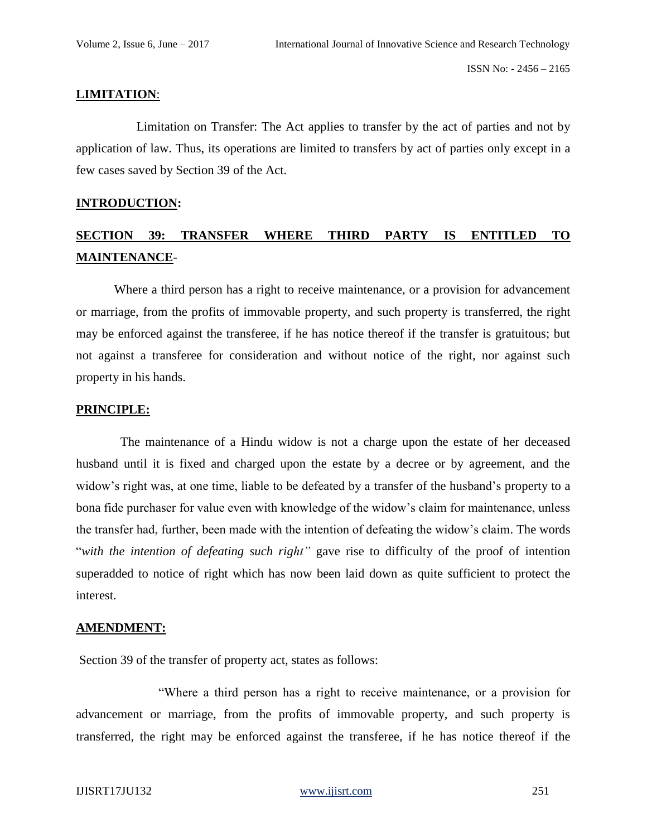# **LIMITATION**:

 Limitation on Transfer: The Act applies to transfer by the act of parties and not by application of law. Thus, its operations are limited to transfers by act of parties only except in a few cases saved by Section 39 of the Act.

#### **INTRODUCTION:**

# **SECTION 39: TRANSFER WHERE THIRD PARTY IS ENTITLED TO MAINTENANCE**-

 Where a third person has a right to receive maintenance, or a provision for advancement or marriage, from the profits of immovable property, and such property is transferred, the right may be enforced against the transferee, if he has notice thereof if the transfer is gratuitous; but not against a transferee for consideration and without notice of the right, nor against such property in his hands.

#### **PRINCIPLE:**

 The maintenance of a Hindu widow is not a charge upon the estate of her deceased husband until it is fixed and charged upon the estate by a decree or by agreement, and the widow's right was, at one time, liable to be defeated by a transfer of the husband's property to a bona fide purchaser for value even with knowledge of the widow's claim for maintenance, unless the transfer had, further, been made with the intention of defeating the widow's claim. The words "*with the intention of defeating such right"* gave rise to difficulty of the proof of intention superadded to notice of right which has now been laid down as quite sufficient to protect the interest.

#### **AMENDMENT:**

Section 39 of the transfer of property act, states as follows:

 "Where a third person has a right to receive maintenance, or a provision for advancement or marriage, from the profits of immovable property, and such property is transferred, the right may be enforced against the transferee, if he has notice thereof if the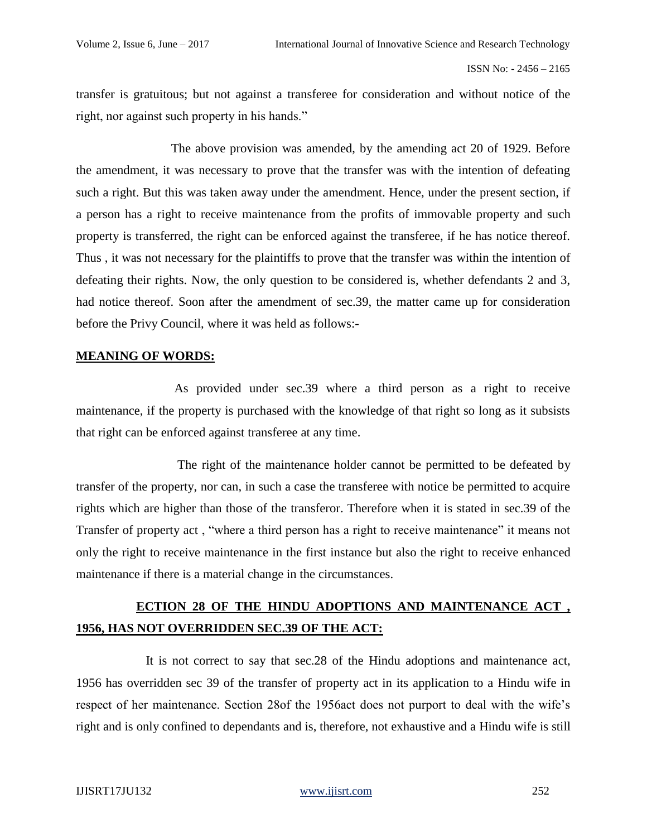transfer is gratuitous; but not against a transferee for consideration and without notice of the right, nor against such property in his hands."

 The above provision was amended, by the amending act 20 of 1929. Before the amendment, it was necessary to prove that the transfer was with the intention of defeating such a right. But this was taken away under the amendment. Hence, under the present section, if a person has a right to receive maintenance from the profits of immovable property and such property is transferred, the right can be enforced against the transferee, if he has notice thereof. Thus , it was not necessary for the plaintiffs to prove that the transfer was within the intention of defeating their rights. Now, the only question to be considered is, whether defendants 2 and 3, had notice thereof. Soon after the amendment of sec.39, the matter came up for consideration before the Privy Council, where it was held as follows:-

# **MEANING OF WORDS:**

 As provided under sec.39 where a third person as a right to receive maintenance, if the property is purchased with the knowledge of that right so long as it subsists that right can be enforced against transferee at any time.

 The right of the maintenance holder cannot be permitted to be defeated by transfer of the property, nor can, in such a case the transferee with notice be permitted to acquire rights which are higher than those of the transferor. Therefore when it is stated in sec.39 of the Transfer of property act , "where a third person has a right to receive maintenance" it means not only the right to receive maintenance in the first instance but also the right to receive enhanced maintenance if there is a material change in the circumstances.

# **ECTION 28 OF THE HINDU ADOPTIONS AND MAINTENANCE ACT , 1956, HAS NOT OVERRIDDEN SEC.39 OF THE ACT:**

 It is not correct to say that sec.28 of the Hindu adoptions and maintenance act, 1956 has overridden sec 39 of the transfer of property act in its application to a Hindu wife in respect of her maintenance. Section 28of the 1956act does not purport to deal with the wife's right and is only confined to dependants and is, therefore, not exhaustive and a Hindu wife is still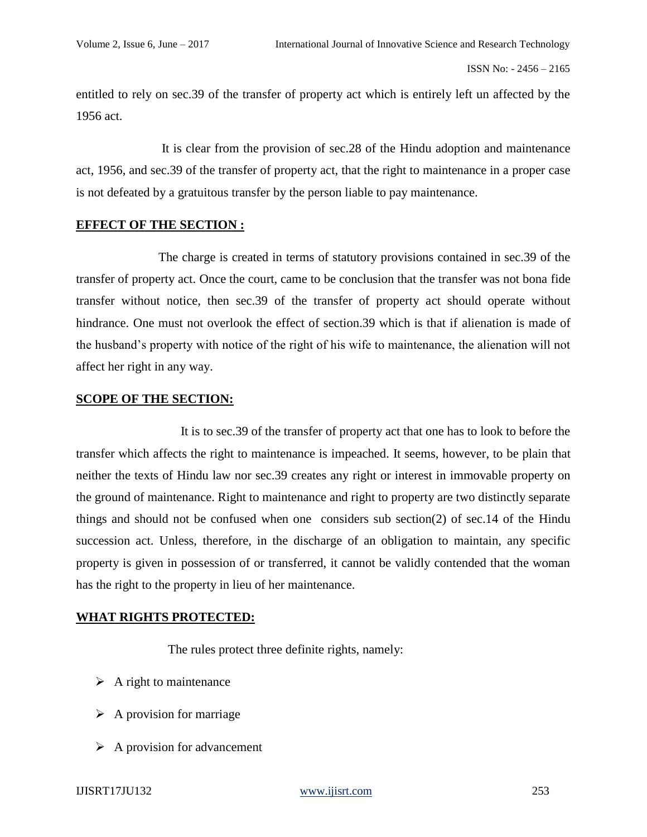entitled to rely on sec.39 of the transfer of property act which is entirely left un affected by the 1956 act.

 It is clear from the provision of sec.28 of the Hindu adoption and maintenance act, 1956, and sec.39 of the transfer of property act, that the right to maintenance in a proper case is not defeated by a gratuitous transfer by the person liable to pay maintenance.

# **EFFECT OF THE SECTION :**

 The charge is created in terms of statutory provisions contained in sec.39 of the transfer of property act. Once the court, came to be conclusion that the transfer was not bona fide transfer without notice, then sec.39 of the transfer of property act should operate without hindrance. One must not overlook the effect of section.39 which is that if alienation is made of the husband's property with notice of the right of his wife to maintenance, the alienation will not affect her right in any way.

# **SCOPE OF THE SECTION:**

 It is to sec.39 of the transfer of property act that one has to look to before the transfer which affects the right to maintenance is impeached. It seems, however, to be plain that neither the texts of Hindu law nor sec.39 creates any right or interest in immovable property on the ground of maintenance. Right to maintenance and right to property are two distinctly separate things and should not be confused when one considers sub section(2) of sec.14 of the Hindu succession act. Unless, therefore, in the discharge of an obligation to maintain, any specific property is given in possession of or transferred, it cannot be validly contended that the woman has the right to the property in lieu of her maintenance.

# **WHAT RIGHTS PROTECTED:**

The rules protect three definite rights, namely:

- $\triangleright$  A right to maintenance
- $\triangleright$  A provision for marriage
- $\triangleright$  A provision for advancement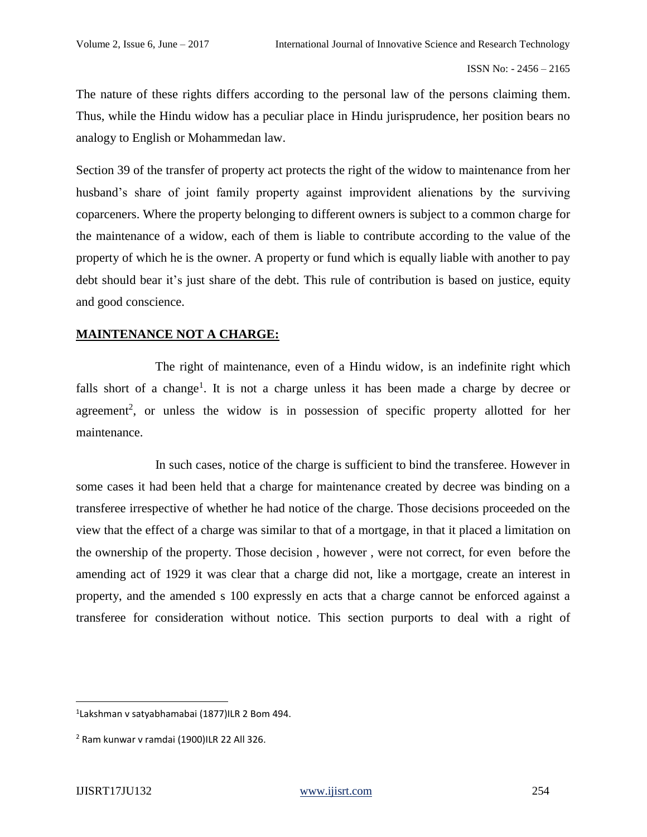The nature of these rights differs according to the personal law of the persons claiming them. Thus, while the Hindu widow has a peculiar place in Hindu jurisprudence, her position bears no analogy to English or Mohammedan law.

Section 39 of the transfer of property act protects the right of the widow to maintenance from her husband's share of joint family property against improvident alienations by the surviving coparceners. Where the property belonging to different owners is subject to a common charge for the maintenance of a widow, each of them is liable to contribute according to the value of the property of which he is the owner. A property or fund which is equally liable with another to pay debt should bear it's just share of the debt. This rule of contribution is based on justice, equity and good conscience.

# **MAINTENANCE NOT A CHARGE:**

 The right of maintenance, even of a Hindu widow, is an indefinite right which falls short of a change<sup>1</sup>. It is not a charge unless it has been made a charge by decree or agreement<sup>2</sup>, or unless the widow is in possession of specific property allotted for her maintenance.

 In such cases, notice of the charge is sufficient to bind the transferee. However in some cases it had been held that a charge for maintenance created by decree was binding on a transferee irrespective of whether he had notice of the charge. Those decisions proceeded on the view that the effect of a charge was similar to that of a mortgage, in that it placed a limitation on the ownership of the property. Those decision , however , were not correct, for even before the amending act of 1929 it was clear that a charge did not, like a mortgage, create an interest in property, and the amended s 100 expressly en acts that a charge cannot be enforced against a transferee for consideration without notice. This section purports to deal with a right of

<sup>1</sup> Lakshman v satyabhamabai (1877)ILR 2 Bom 494.

<sup>2</sup> Ram kunwar v ramdai (1900)ILR 22 All 326.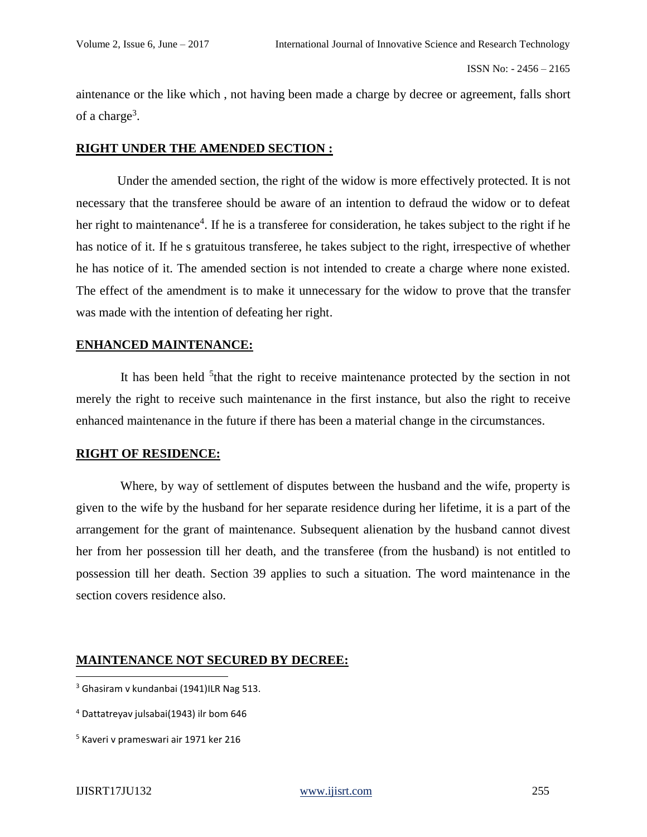aintenance or the like which , not having been made a charge by decree or agreement, falls short of a charge<sup>3</sup>.

#### **RIGHT UNDER THE AMENDED SECTION :**

Under the amended section, the right of the widow is more effectively protected. It is not necessary that the transferee should be aware of an intention to defraud the widow or to defeat her right to maintenance<sup>4</sup>. If he is a transferee for consideration, he takes subject to the right if he has notice of it. If he s gratuitous transferee, he takes subject to the right, irrespective of whether he has notice of it. The amended section is not intended to create a charge where none existed. The effect of the amendment is to make it unnecessary for the widow to prove that the transfer was made with the intention of defeating her right.

#### **ENHANCED MAINTENANCE:**

It has been held <sup>5</sup> that the right to receive maintenance protected by the section in not merely the right to receive such maintenance in the first instance, but also the right to receive enhanced maintenance in the future if there has been a material change in the circumstances.

#### **RIGHT OF RESIDENCE:**

 Where, by way of settlement of disputes between the husband and the wife, property is given to the wife by the husband for her separate residence during her lifetime, it is a part of the arrangement for the grant of maintenance. Subsequent alienation by the husband cannot divest her from her possession till her death, and the transferee (from the husband) is not entitled to possession till her death. Section 39 applies to such a situation. The word maintenance in the section covers residence also.

# **MAINTENANCE NOT SECURED BY DECREE:**

 $3$  Ghasiram v kundanbai (1941)ILR Nag 513.

<sup>4</sup> Dattatreyav julsabai(1943) ilr bom 646

<sup>5</sup> Kaveri v prameswari air 1971 ker 216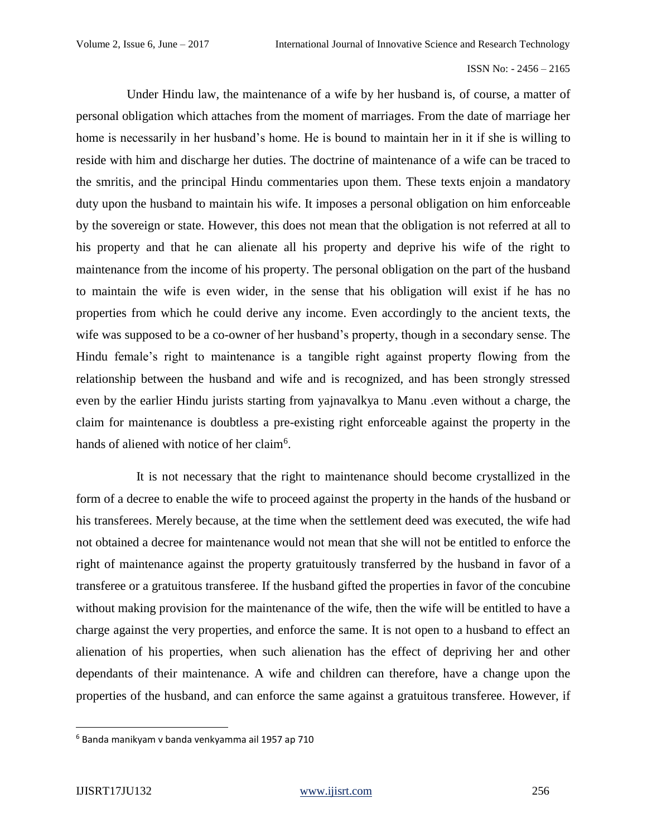Under Hindu law, the maintenance of a wife by her husband is, of course, a matter of personal obligation which attaches from the moment of marriages. From the date of marriage her home is necessarily in her husband's home. He is bound to maintain her in it if she is willing to reside with him and discharge her duties. The doctrine of maintenance of a wife can be traced to the smritis, and the principal Hindu commentaries upon them. These texts enjoin a mandatory duty upon the husband to maintain his wife. It imposes a personal obligation on him enforceable by the sovereign or state. However, this does not mean that the obligation is not referred at all to his property and that he can alienate all his property and deprive his wife of the right to maintenance from the income of his property. The personal obligation on the part of the husband to maintain the wife is even wider, in the sense that his obligation will exist if he has no properties from which he could derive any income. Even accordingly to the ancient texts, the wife was supposed to be a co-owner of her husband's property, though in a secondary sense. The Hindu female's right to maintenance is a tangible right against property flowing from the relationship between the husband and wife and is recognized, and has been strongly stressed even by the earlier Hindu jurists starting from yajnavalkya to Manu .even without a charge, the claim for maintenance is doubtless a pre-existing right enforceable against the property in the hands of aliened with notice of her claim<sup>6</sup>.

 It is not necessary that the right to maintenance should become crystallized in the form of a decree to enable the wife to proceed against the property in the hands of the husband or his transferees. Merely because, at the time when the settlement deed was executed, the wife had not obtained a decree for maintenance would not mean that she will not be entitled to enforce the right of maintenance against the property gratuitously transferred by the husband in favor of a transferee or a gratuitous transferee. If the husband gifted the properties in favor of the concubine without making provision for the maintenance of the wife, then the wife will be entitled to have a charge against the very properties, and enforce the same. It is not open to a husband to effect an alienation of his properties, when such alienation has the effect of depriving her and other dependants of their maintenance. A wife and children can therefore, have a change upon the properties of the husband, and can enforce the same against a gratuitous transferee. However, if

<sup>6</sup> Banda manikyam v banda venkyamma ail 1957 ap 710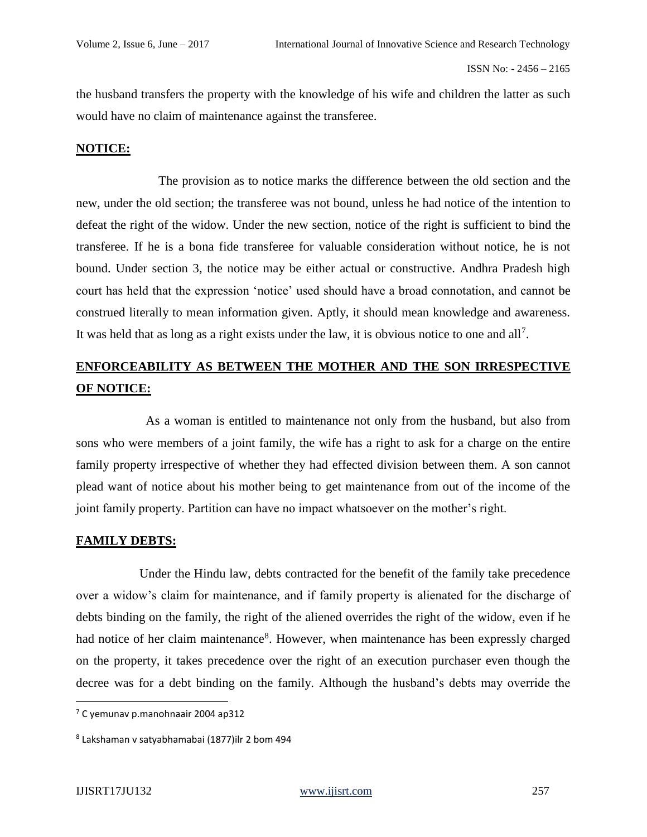the husband transfers the property with the knowledge of his wife and children the latter as such would have no claim of maintenance against the transferee.

#### **NOTICE:**

 The provision as to notice marks the difference between the old section and the new, under the old section; the transferee was not bound, unless he had notice of the intention to defeat the right of the widow. Under the new section, notice of the right is sufficient to bind the transferee. If he is a bona fide transferee for valuable consideration without notice, he is not bound. Under section 3, the notice may be either actual or constructive. Andhra Pradesh high court has held that the expression 'notice' used should have a broad connotation, and cannot be construed literally to mean information given. Aptly, it should mean knowledge and awareness. It was held that as long as a right exists under the law, it is obvious notice to one and all<sup>7</sup>.

# **ENFORCEABILITY AS BETWEEN THE MOTHER AND THE SON IRRESPECTIVE OF NOTICE:**

 As a woman is entitled to maintenance not only from the husband, but also from sons who were members of a joint family, the wife has a right to ask for a charge on the entire family property irrespective of whether they had effected division between them. A son cannot plead want of notice about his mother being to get maintenance from out of the income of the joint family property. Partition can have no impact whatsoever on the mother's right.

#### **FAMILY DEBTS:**

 Under the Hindu law, debts contracted for the benefit of the family take precedence over a widow's claim for maintenance, and if family property is alienated for the discharge of debts binding on the family, the right of the aliened overrides the right of the widow, even if he had notice of her claim maintenance<sup>8</sup>. However, when maintenance has been expressly charged on the property, it takes precedence over the right of an execution purchaser even though the decree was for a debt binding on the family. Although the husband's debts may override the

<sup>7</sup> C yemunav p.manohnaair 2004 ap312

<sup>8</sup> Lakshaman v satyabhamabai (1877)ilr 2 bom 494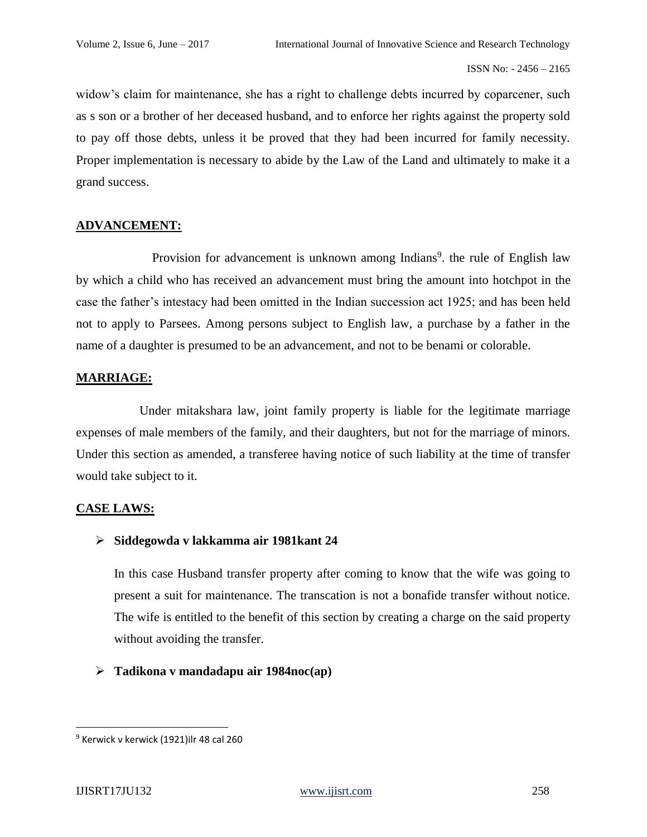widow's claim for maintenance, she has a right to challenge debts incurred by coparcener, such as s son or a brother of her deceased husband, and to enforce her rights against the property sold to pay off those debts, unless it be proved that they had been incurred for family necessity. Proper implementation is necessary to abide by the Law of the Land and ultimately to make it a grand success.

# **ADVANCEMENT:**

Provision for advancement is unknown among Indians<sup>9</sup>, the rule of English law by which a child who has received an advancement must bring the amount into hotchpot in the case the father's intestacy had been omitted in the Indian succession act 1925; and has been held not to apply to Parsees. Among persons subject to English law, a purchase by a father in the name of a daughter is presumed to be an advancement, and not to be benami or colorable.

# **MARRIAGE:**

 Under mitakshara law, joint family property is liable for the legitimate marriage expenses of male members of the family, and their daughters, but not for the marriage of minors. Under this section as amended, a transferee having notice of such liability at the time of transfer would take subject to it.

# **CASE LAWS:**

# ➢ **Siddegowda v lakkamma air 1981kant 24**

In this case Husband transfer property after coming to know that the wife was going to present a suit for maintenance. The transcation is not a bonafide transfer without notice. The wife is entitled to the benefit of this section by creating a charge on the said property without avoiding the transfer.

# ➢ **Tadikona v mandadapu air 1984noc(ap)**

<sup>9</sup> Kerwick v kerwick (1921)ilr 48 cal 260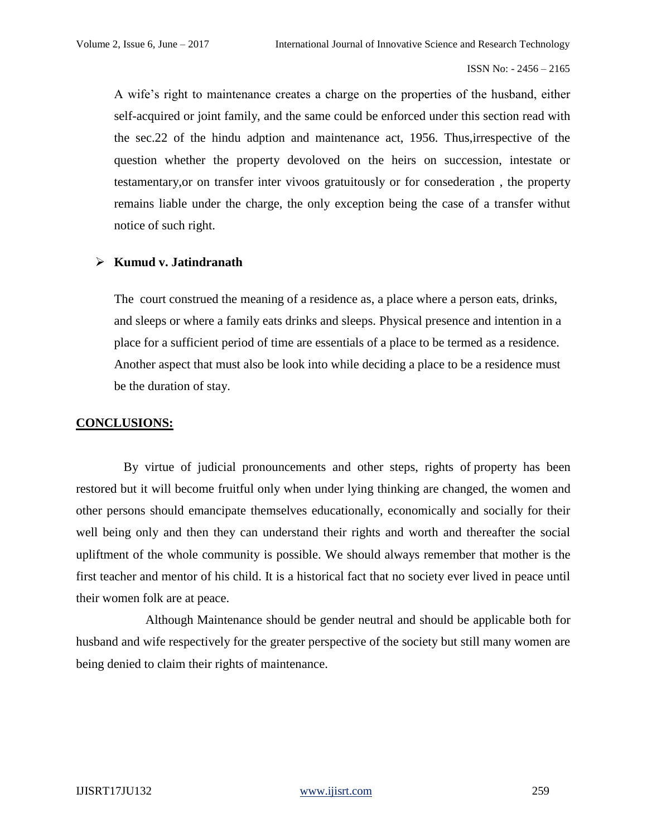A wife's right to maintenance creates a charge on the properties of the husband, either self-acquired or joint family, and the same could be enforced under this section read with the sec.22 of the hindu adption and maintenance act, 1956. Thus,irrespective of the question whether the property devoloved on the heirs on succession, intestate or testamentary,or on transfer inter vivoos gratuitously or for consederation , the property remains liable under the charge, the only exception being the case of a transfer withut notice of such right.

#### ➢ **Kumud v. Jatindranath**

The court construed the meaning of a residence as, a place where a person eats, drinks, and sleeps or where a family eats drinks and sleeps. Physical presence and intention in a place for a sufficient period of time are essentials of a place to be termed as a residence. Another aspect that must also be look into while deciding a place to be a residence must be the duration of stay.

#### **CONCLUSIONS:**

 By virtue of judicial pronouncements and other steps, rights of property has been restored but it will become fruitful only when under lying thinking are changed, the women and other persons should emancipate themselves educationally, economically and socially for their well being only and then they can understand their rights and worth and thereafter the social upliftment of the whole community is possible. We should always remember that mother is the first teacher and mentor of his child. It is a historical fact that no society ever lived in peace until their women folk are at peace.

 Although Maintenance should be gender neutral and should be applicable both for husband and wife respectively for the greater perspective of the society but still many women are being denied to claim their rights of maintenance.